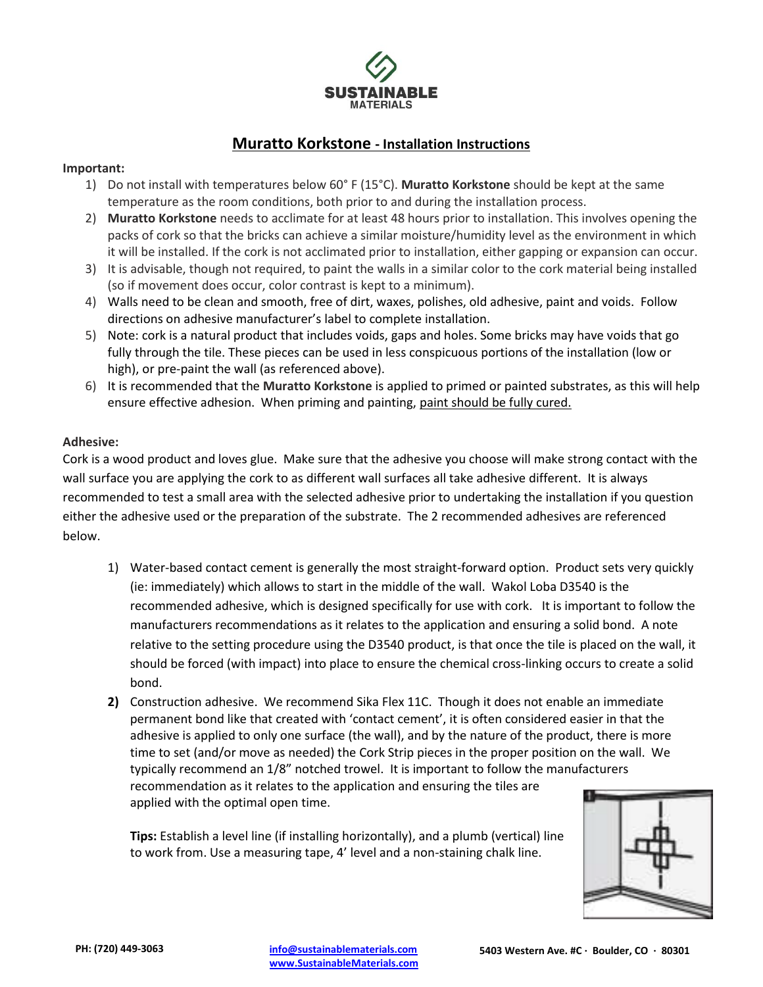

## **Muratto Korkstone - Installation Instructions**

## **Important:**

- 1) Do not install with temperatures below 60° F (15°C). **Muratto Korkstone** should be kept at the same temperature as the room conditions, both prior to and during the installation process.
- 2) **Muratto Korkstone** needs to acclimate for at least 48 hours prior to installation. This involves opening the packs of cork so that the bricks can achieve a similar moisture/humidity level as the environment in which it will be installed. If the cork is not acclimated prior to installation, either gapping or expansion can occur.
- 3) It is advisable, though not required, to paint the walls in a similar color to the cork material being installed (so if movement does occur, color contrast is kept to a minimum).
- 4) Walls need to be clean and smooth, free of dirt, waxes, polishes, old adhesive, paint and voids. Follow directions on adhesive manufacturer's label to complete installation.
- 5) Note: cork is a natural product that includes voids, gaps and holes. Some bricks may have voids that go fully through the tile. These pieces can be used in less conspicuous portions of the installation (low or high), or pre-paint the wall (as referenced above).
- 6) It is recommended that the **Muratto Korkstone** is applied to primed or painted substrates, as this will help ensure effective adhesion. When priming and painting, paint should be fully cured.

## **Adhesive:**

Cork is a wood product and loves glue. Make sure that the adhesive you choose will make strong contact with the wall surface you are applying the cork to as different wall surfaces all take adhesive different. It is always recommended to test a small area with the selected adhesive prior to undertaking the installation if you question either the adhesive used or the preparation of the substrate. The 2 recommended adhesives are referenced below.

- 1) Water-based contact cement is generally the most straight-forward option. Product sets very quickly (ie: immediately) which allows to start in the middle of the wall. Wakol Loba D3540 is the recommended adhesive, which is designed specifically for use with cork. It is important to follow the manufacturers recommendations as it relates to the application and ensuring a solid bond. A note relative to the setting procedure using the D3540 product, is that once the tile is placed on the wall, it should be forced (with impact) into place to ensure the chemical cross-linking occurs to create a solid bond.
- **2)** Construction adhesive. We recommend Sika Flex 11C. Though it does not enable an immediate permanent bond like that created with 'contact cement', it is often considered easier in that the adhesive is applied to only one surface (the wall), and by the nature of the product, there is more time to set (and/or move as needed) the Cork Strip pieces in the proper position on the wall. We typically recommend an 1/8" notched trowel. It is important to follow the manufacturers recommendation as it relates to the application and ensuring the tiles are applied with the optimal open time.

**Tips:** Establish a level line (if installing horizontally), and a plumb (vertical) line to work from. Use a measuring tape, 4' level and a non-staining chalk line.